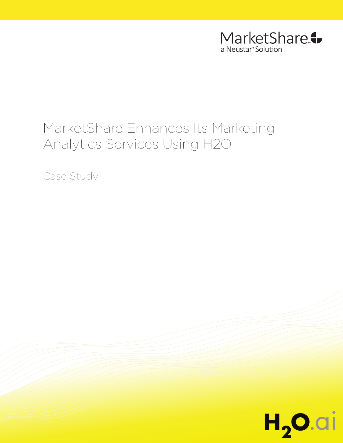

# MarketShare Enhances Its Marketing Analytics Services Using H2O

Case Study

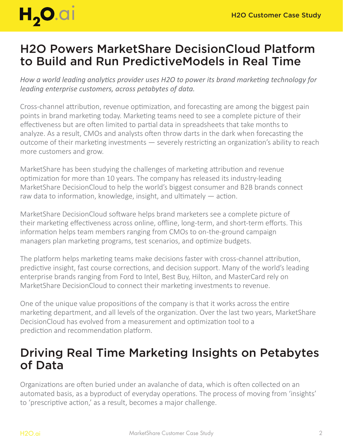

## H2O Powers MarketShare DecisionCloud Platform to Build and Run PredictiveModels in Real Time

*How a world leading analytics provider uses H2O to power its brand marketing technology for leading enterprise customers, across petabytes of data.*

Cross-channel attribution, revenue optimization, and forecasting are among the biggest pain points in brand marketing today. Marketing teams need to see a complete picture of their effectiveness but are often limited to partial data in spreadsheets that take months to analyze. As a result, CMOs and analysts often throw darts in the dark when forecasting the outcome of their marketing investments — severely restricting an organization's ability to reach more customers and grow.

MarketShare has been studying the challenges of marketing attribution and revenue optimization for more than 10 years. The company has released its industry-leading MarketShare DecisionCloud to help the world's biggest consumer and B2B brands connect raw data to information, knowledge, insight, and ultimately — action.

MarketShare DecisionCloud software helps brand marketers see a complete picture of their marketing effectiveness across online, offline, long-term, and short-term efforts. This information helps team members ranging from CMOs to on-the-ground campaign managers plan marketing programs, test scenarios, and optimize budgets.

The platform helps marketing teams make decisions faster with cross-channel attribution, predictive insight, fast course corrections, and decision support. Many of the world's leading enterprise brands ranging from Ford to Intel, Best Buy, Hilton, and MasterCard rely on MarketShare DecisionCloud to connect their marketing investments to revenue.

One of the unique value propositions of the company is that it works across the entire marketing department, and all levels of the organization. Over the last two years, MarketShare DecisionCloud has evolved from a measurement and optimization tool to a prediction and recommendation platform.

### Driving Real Time Marketing Insights on Petabytes of Data

Organizations are often buried under an avalanche of data, which is often collected on an automated basis, as a byproduct of everyday operations. The process of moving from 'insights' to 'prescriptive action,' as a result, becomes a major challenge.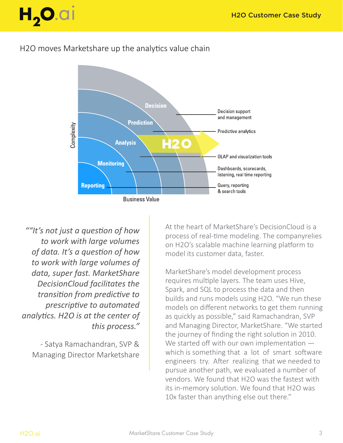

#### H2O moves Marketshare up the analytics value chain



*""It's not just a question of how to work with large volumes of data. It's a question of how to work with large volumes of data, super fast. MarketShare DecisionCloud facilitates the transition from predictive to prescriptive to automated analytics. H2O is at the center of this process."*

- Satya Ramachandran, SVP & Managing Director Marketshare At the heart of MarketShare's DecisionCloud is a process of real-time modeling. The companyrelies on H2O's scalable machine learning platform to model its customer data, faster.

MarketShare's model development process requires multiple layers. The team uses Hive, Spark, and SQL to process the data and then builds and runs models using H2O. "We run these models on different networks to get them running as quickly as possible," said Ramachandran, SVP and Managing Director, MarketShare. "We started the journey of finding the right solution in 2010. We started off with our own implementation which is something that a lot of smart software engineers try. After realizing that we needed to pursue another path, we evaluated a number of vendors. We found that H2O was the fastest with its in-memory solution. We found that H2O was 10x faster than anything else out there."